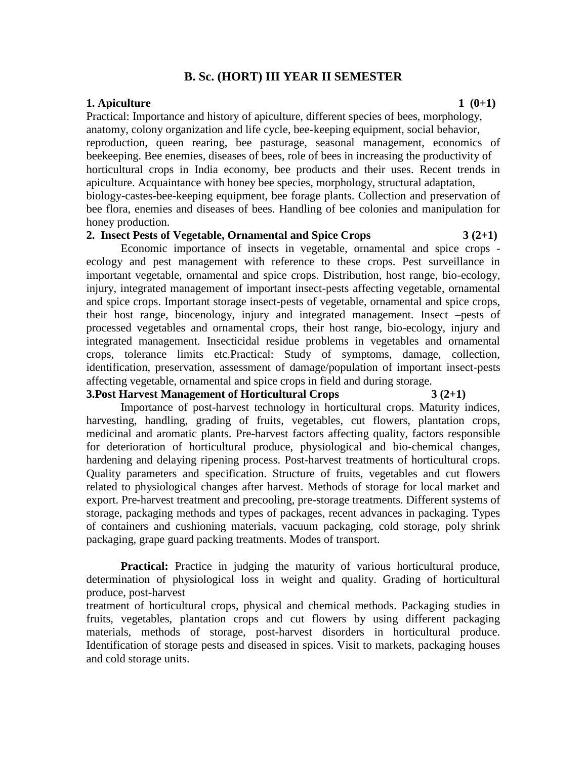# **B. Sc. (HORT) III YEAR II SEMESTER**

#### **1.** Apiculture 1 (0+1)

Practical: Importance and history of apiculture, different species of bees, morphology, anatomy, colony organization and life cycle, bee-keeping equipment, social behavior, reproduction, queen rearing, bee pasturage, seasonal management, economics of beekeeping. Bee enemies, diseases of bees, role of bees in increasing the productivity of horticultural crops in India economy, bee products and their uses. Recent trends in apiculture. Acquaintance with honey bee species, morphology, structural adaptation, biology-castes-bee-keeping equipment, bee forage plants. Collection and preservation of bee flora, enemies and diseases of bees. Handling of bee colonies and manipulation for honey production.

## 2. **Insect Pests of Vegetable, Ornamental and Spice Crops** 3 (2+1)

Economic importance of insects in vegetable, ornamental and spice crops ecology and pest management with reference to these crops. Pest surveillance in important vegetable, ornamental and spice crops. Distribution, host range, bio-ecology, injury, integrated management of important insect-pests affecting vegetable, ornamental and spice crops. Important storage insect-pests of vegetable, ornamental and spice crops, their host range, biocenology, injury and integrated management. Insect –pests of processed vegetables and ornamental crops, their host range, bio-ecology, injury and integrated management. Insecticidal residue problems in vegetables and ornamental crops, tolerance limits etc.Practical: Study of symptoms, damage, collection, identification, preservation, assessment of damage/population of important insect-pests affecting vegetable, ornamental and spice crops in field and during storage.

#### **3.Post Harvest Management of Horticultural Crops 3 (2+1)**

Importance of post-harvest technology in horticultural crops. Maturity indices, harvesting, handling, grading of fruits, vegetables, cut flowers, plantation crops, medicinal and aromatic plants. Pre-harvest factors affecting quality, factors responsible for deterioration of horticultural produce, physiological and bio-chemical changes, hardening and delaying ripening process. Post-harvest treatments of horticultural crops. Quality parameters and specification. Structure of fruits, vegetables and cut flowers related to physiological changes after harvest. Methods of storage for local market and export. Pre-harvest treatment and precooling, pre-storage treatments. Different systems of storage, packaging methods and types of packages, recent advances in packaging. Types of containers and cushioning materials, vacuum packaging, cold storage, poly shrink packaging, grape guard packing treatments. Modes of transport.

**Practical:** Practice in judging the maturity of various horticultural produce, determination of physiological loss in weight and quality. Grading of horticultural produce, post-harvest

treatment of horticultural crops, physical and chemical methods. Packaging studies in fruits, vegetables, plantation crops and cut flowers by using different packaging materials, methods of storage, post-harvest disorders in horticultural produce. Identification of storage pests and diseased in spices. Visit to markets, packaging houses and cold storage units.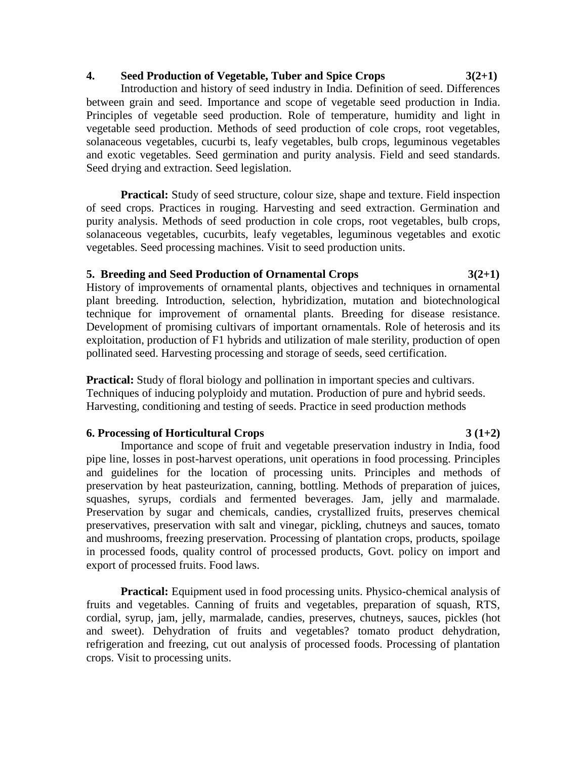# **4. Seed Production of Vegetable, Tuber and Spice Crops 3(2+1)**

Introduction and history of seed industry in India. Definition of seed. Differences between grain and seed. Importance and scope of vegetable seed production in India. Principles of vegetable seed production. Role of temperature, humidity and light in vegetable seed production. Methods of seed production of cole crops, root vegetables, solanaceous vegetables, cucurbi ts, leafy vegetables, bulb crops, leguminous vegetables and exotic vegetables. Seed germination and purity analysis. Field and seed standards. Seed drying and extraction. Seed legislation.

**Practical:** Study of seed structure, colour size, shape and texture. Field inspection of seed crops. Practices in rouging. Harvesting and seed extraction. Germination and purity analysis. Methods of seed production in cole crops, root vegetables, bulb crops, solanaceous vegetables, cucurbits, leafy vegetables, leguminous vegetables and exotic vegetables. Seed processing machines. Visit to seed production units.

## **5. Breeding and Seed Production of Ornamental Crops 3(2+1)**

History of improvements of ornamental plants, objectives and techniques in ornamental plant breeding. Introduction, selection, hybridization, mutation and biotechnological technique for improvement of ornamental plants. Breeding for disease resistance. Development of promising cultivars of important ornamentals. Role of heterosis and its exploitation, production of F1 hybrids and utilization of male sterility, production of open pollinated seed. Harvesting processing and storage of seeds, seed certification.

**Practical:** Study of floral biology and pollination in important species and cultivars. Techniques of inducing polyploidy and mutation. Production of pure and hybrid seeds. Harvesting, conditioning and testing of seeds. Practice in seed production methods

## **6. Processing of Horticultural Crops 3 (1+2)**

# Importance and scope of fruit and vegetable preservation industry in India, food pipe line, losses in post-harvest operations, unit operations in food processing. Principles and guidelines for the location of processing units. Principles and methods of preservation by heat pasteurization, canning, bottling. Methods of preparation of juices, squashes, syrups, cordials and fermented beverages. Jam, jelly and marmalade. Preservation by sugar and chemicals, candies, crystallized fruits, preserves chemical preservatives, preservation with salt and vinegar, pickling, chutneys and sauces, tomato and mushrooms, freezing preservation. Processing of plantation crops, products, spoilage in processed foods, quality control of processed products, Govt. policy on import and export of processed fruits. Food laws.

**Practical:** Equipment used in food processing units. Physico-chemical analysis of fruits and vegetables. Canning of fruits and vegetables, preparation of squash, RTS, cordial, syrup, jam, jelly, marmalade, candies, preserves, chutneys, sauces, pickles (hot and sweet). Dehydration of fruits and vegetables? tomato product dehydration, refrigeration and freezing, cut out analysis of processed foods. Processing of plantation crops. Visit to processing units.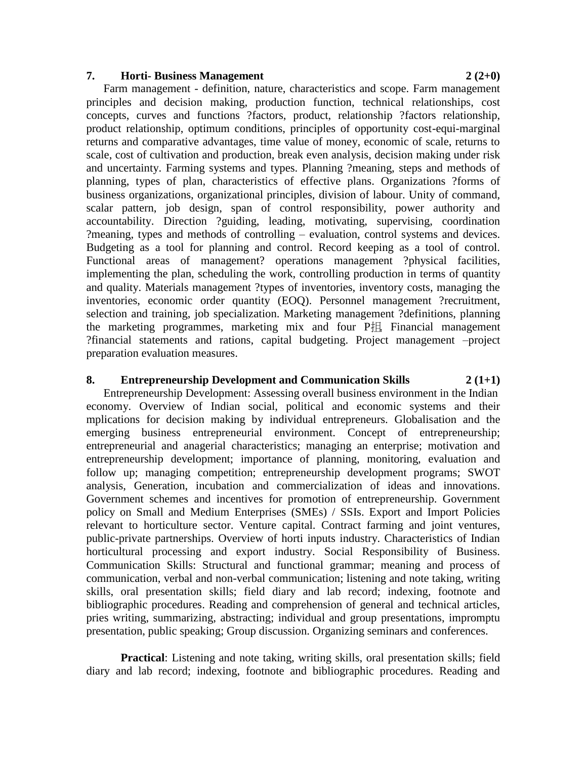#### **7. Horti- Business Management 2 (2+0)**

Farm management - definition, nature, characteristics and scope. Farm management principles and decision making, production function, technical relationships, cost concepts, curves and functions ?factors, product, relationship ?factors relationship, product relationship, optimum conditions, principles of opportunity cost-equi-marginal returns and comparative advantages, time value of money, economic of scale, returns to scale, cost of cultivation and production, break even analysis, decision making under risk and uncertainty. Farming systems and types. Planning ?meaning, steps and methods of planning, types of plan, characteristics of effective plans. Organizations ?forms of business organizations, organizational principles, division of labour. Unity of command, scalar pattern, job design, span of control responsibility, power authority and accountability. Direction ?guiding, leading, motivating, supervising, coordination ?meaning, types and methods of controlling – evaluation, control systems and devices. Budgeting as a tool for planning and control. Record keeping as a tool of control. Functional areas of management? operations management ?physical facilities, implementing the plan, scheduling the work, controlling production in terms of quantity and quality. Materials management ?types of inventories, inventory costs, managing the inventories, economic order quantity (EOQ). Personnel management ?recruitment, selection and training, job specialization. Marketing management ?definitions, planning the marketing programmes, marketing mix and four P抯. Financial management ?financial statements and rations, capital budgeting. Project management –project preparation evaluation measures.

## **8. Entrepreneurship Development and Communication Skills 2 (1+1)**

Entrepreneurship Development: Assessing overall business environment in the Indian economy. Overview of Indian social, political and economic systems and their mplications for decision making by individual entrepreneurs. Globalisation and the emerging business entrepreneurial environment. Concept of entrepreneurship; entrepreneurial and anagerial characteristics; managing an enterprise; motivation and entrepreneurship development; importance of planning, monitoring, evaluation and follow up; managing competition; entrepreneurship development programs; SWOT analysis, Generation, incubation and commercialization of ideas and innovations. Government schemes and incentives for promotion of entrepreneurship. Government policy on Small and Medium Enterprises (SMEs) / SSIs. Export and Import Policies relevant to horticulture sector. Venture capital. Contract farming and joint ventures, public-private partnerships. Overview of horti inputs industry. Characteristics of Indian horticultural processing and export industry. Social Responsibility of Business. Communication Skills: Structural and functional grammar; meaning and process of communication, verbal and non-verbal communication; listening and note taking, writing skills, oral presentation skills; field diary and lab record; indexing, footnote and bibliographic procedures. Reading and comprehension of general and technical articles, pries writing, summarizing, abstracting; individual and group presentations, impromptu presentation, public speaking; Group discussion. Organizing seminars and conferences.

**Practical:** Listening and note taking, writing skills, oral presentation skills; field diary and lab record; indexing, footnote and bibliographic procedures. Reading and